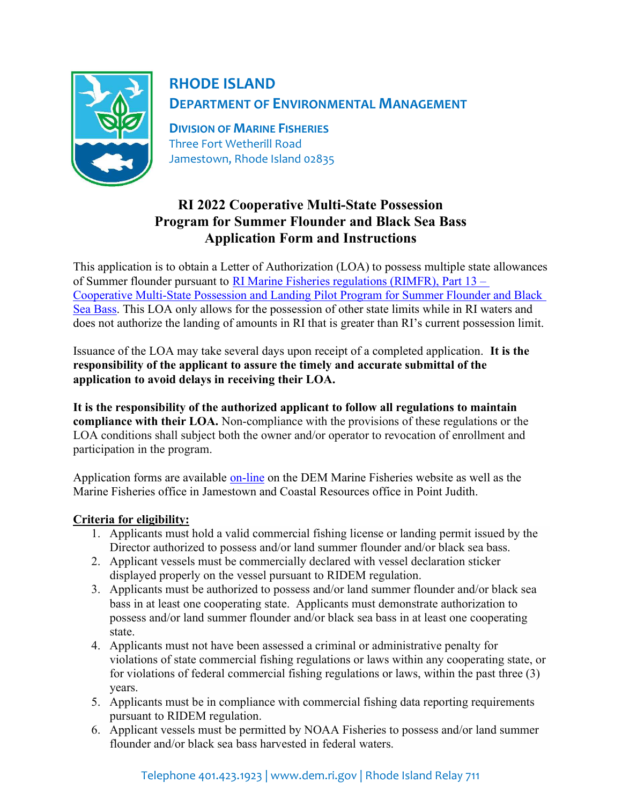

## RHODE ISLAND DEPARTMENT OF ENVIRONMENTAL MANAGEMENT

DIVISION OF MARINE FISHERIES Three Fort Wetherill Road Jamestown, Rhode Island 02835

## RI 2022 Cooperative Multi-State Possession Program for Summer Flounder and Black Sea Bass Application Form and Instructions

This application is to obtain a Letter of Authorization (LOA) to possess multiple state allowances of Summer flounder pursuant to RI Marine Fisheries regulations (RIMFR), Part 13 – Cooperative Multi-State Possession and Landing Pilot Program for Summer Flounder and Black Sea Bass. This LOA only allows for the possession of other state limits while in RI waters and does not authorize the landing of amounts in RI that is greater than RI's current possession limit.

Issuance of the LOA may take several days upon receipt of a completed application. It is the responsibility of the applicant to assure the timely and accurate submittal of the application to avoid delays in receiving their LOA.

It is the responsibility of the authorized applicant to follow all regulations to maintain compliance with their LOA. Non-compliance with the provisions of these regulations or the LOA conditions shall subject both the owner and/or operator to revocation of enrollment and participation in the program.

Application forms are available on-line on the DEM Marine Fisheries website as well as the Marine Fisheries office in Jamestown and Coastal Resources office in Point Judith.

## Criteria for eligibility:

- 1. Applicants must hold a valid commercial fishing license or landing permit issued by the Director authorized to possess and/or land summer flounder and/or black sea bass.
- 2. Applicant vessels must be commercially declared with vessel declaration sticker displayed properly on the vessel pursuant to RIDEM regulation.
- 3. Applicants must be authorized to possess and/or land summer flounder and/or black sea bass in at least one cooperating state. Applicants must demonstrate authorization to possess and/or land summer flounder and/or black sea bass in at least one cooperating state.
- 4. Applicants must not have been assessed a criminal or administrative penalty for violations of state commercial fishing regulations or laws within any cooperating state, or for violations of federal commercial fishing regulations or laws, within the past three (3) years.
- 5. Applicants must be in compliance with commercial fishing data reporting requirements pursuant to RIDEM regulation.
- 6. Applicant vessels must be permitted by NOAA Fisheries to possess and/or land summer flounder and/or black sea bass harvested in federal waters.